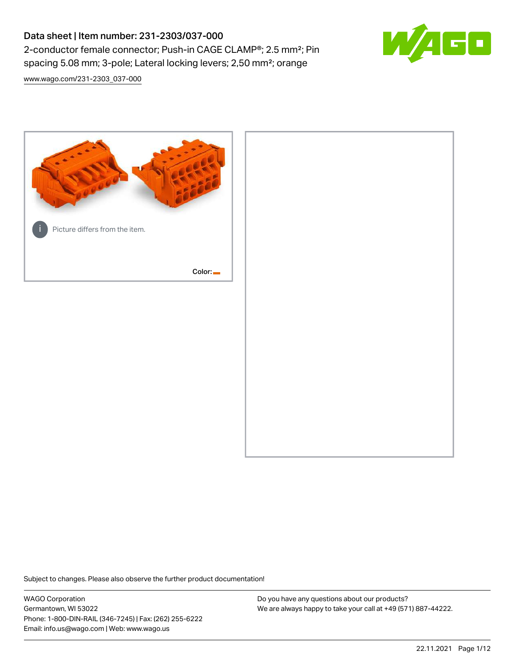# Data sheet | Item number: 231-2303/037-000 2-conductor female connector; Push-in CAGE CLAMP®; 2.5 mm²; Pin spacing 5.08 mm; 3-pole; Lateral locking levers; 2,50 mm²; orange



[www.wago.com/231-2303\\_037-000](http://www.wago.com/231-2303_037-000)



Subject to changes. Please also observe the further product documentation!

WAGO Corporation Germantown, WI 53022 Phone: 1-800-DIN-RAIL (346-7245) | Fax: (262) 255-6222 Email: info.us@wago.com | Web: www.wago.us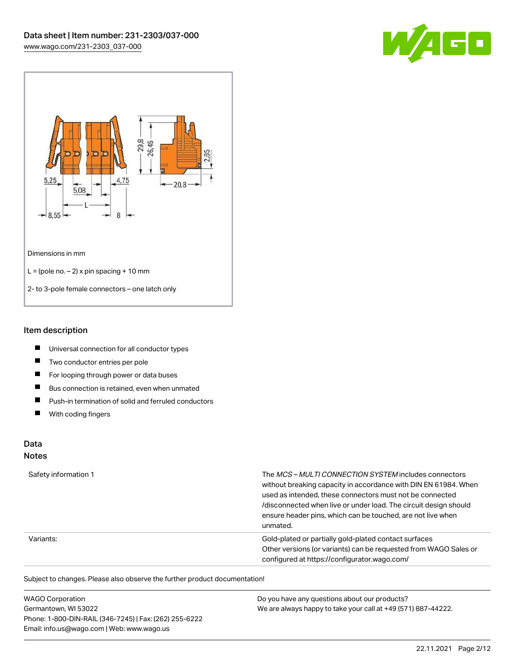



#### Item description

- $\blacksquare$ Universal connection for all conductor types
- $\blacksquare$ Two conductor entries per pole
- $\blacksquare$ For looping through power or data buses
- $\blacksquare$ Bus connection is retained, even when unmated
- $\blacksquare$ Push-in termination of solid and ferruled conductors
- $\blacksquare$ With coding fingers

## Data

#### Notes

| Safety information 1 | The MCS-MULTI CONNECTION SYSTEM includes connectors<br>without breaking capacity in accordance with DIN EN 61984. When<br>used as intended, these connectors must not be connected<br>/disconnected when live or under load. The circuit design should<br>ensure header pins, which can be touched, are not live when<br>unmated. |
|----------------------|-----------------------------------------------------------------------------------------------------------------------------------------------------------------------------------------------------------------------------------------------------------------------------------------------------------------------------------|
| Variants:            | Gold-plated or partially gold-plated contact surfaces<br>Other versions (or variants) can be requested from WAGO Sales or<br>configured at https://configurator.wago.com/                                                                                                                                                         |

Subject to changes. Please also observe the further product documentation!

| <b>WAGO Corporation</b>                                | Do you have any questions about our products?                 |
|--------------------------------------------------------|---------------------------------------------------------------|
| Germantown, WI 53022                                   | We are always happy to take your call at +49 (571) 887-44222. |
| Phone: 1-800-DIN-RAIL (346-7245)   Fax: (262) 255-6222 |                                                               |
| Email: info.us@wago.com   Web: www.wago.us             |                                                               |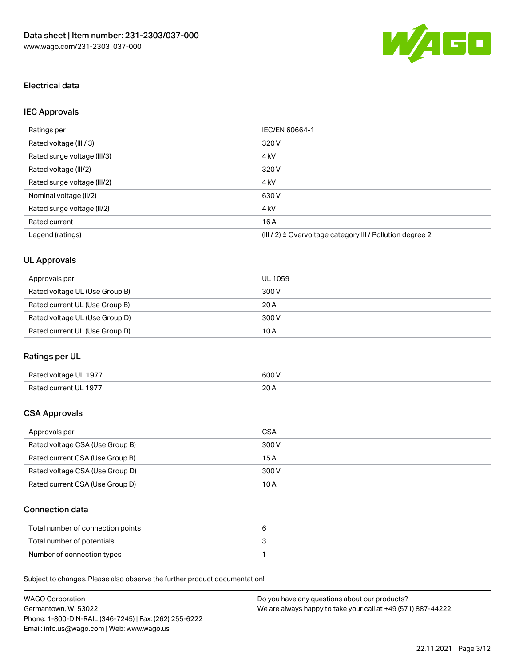

### Electrical data

## IEC Approvals

| Ratings per                 | IEC/EN 60664-1                                                        |
|-----------------------------|-----------------------------------------------------------------------|
| Rated voltage (III / 3)     | 320 V                                                                 |
| Rated surge voltage (III/3) | 4 <sub>k</sub> V                                                      |
| Rated voltage (III/2)       | 320 V                                                                 |
| Rated surge voltage (III/2) | 4 <sub>k</sub> V                                                      |
| Nominal voltage (II/2)      | 630 V                                                                 |
| Rated surge voltage (II/2)  | 4 <sub>k</sub> V                                                      |
| Rated current               | 16A                                                                   |
| Legend (ratings)            | $(III / 2)$ $\triangle$ Overvoltage category III / Pollution degree 2 |

## UL Approvals

| Approvals per                  | UL 1059 |
|--------------------------------|---------|
| Rated voltage UL (Use Group B) | 300 V   |
| Rated current UL (Use Group B) | 20A     |
| Rated voltage UL (Use Group D) | 300 V   |
| Rated current UL (Use Group D) | 10 A    |

### Ratings per UL

| Rated voltage UL 1977 | 600 V       |
|-----------------------|-------------|
| Rated current UL 1977 | 20h<br>20 A |

### CSA Approvals

| Approvals per                   | CSA   |
|---------------------------------|-------|
| Rated voltage CSA (Use Group B) | 300 V |
| Rated current CSA (Use Group B) | 15 A  |
| Rated voltage CSA (Use Group D) | 300 V |
| Rated current CSA (Use Group D) | 10 A  |

### Connection data

| Total number of connection points |  |
|-----------------------------------|--|
| Total number of potentials        |  |
| Number of connection types        |  |

Subject to changes. Please also observe the further product documentation!

| <b>WAGO Corporation</b>                                | Do you have any questions about our products?                 |
|--------------------------------------------------------|---------------------------------------------------------------|
| Germantown, WI 53022                                   | We are always happy to take your call at +49 (571) 887-44222. |
| Phone: 1-800-DIN-RAIL (346-7245)   Fax: (262) 255-6222 |                                                               |
| Email: info.us@wago.com   Web: www.wago.us             |                                                               |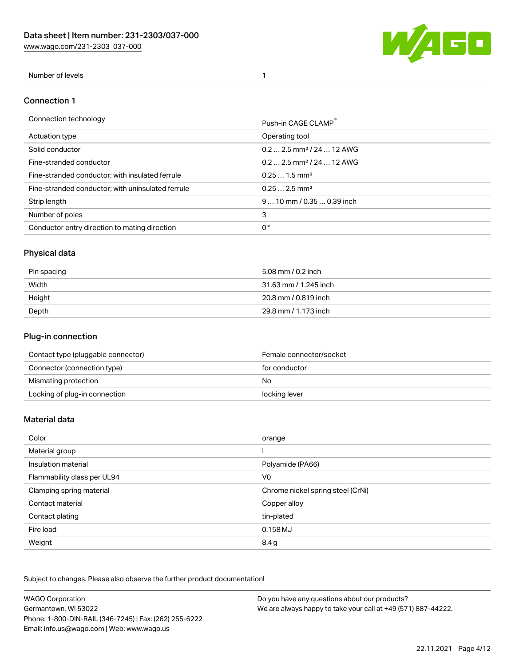[www.wago.com/231-2303\\_037-000](http://www.wago.com/231-2303_037-000)



#### Number of levels 1

#### Connection 1

| Connection technology                             | Push-in CAGE CLAMP®                   |
|---------------------------------------------------|---------------------------------------|
| Actuation type                                    | Operating tool                        |
| Solid conductor                                   | $0.22.5$ mm <sup>2</sup> / 24  12 AWG |
| Fine-stranded conductor                           | $0.22.5$ mm <sup>2</sup> / 24  12 AWG |
| Fine-stranded conductor; with insulated ferrule   | $0.251.5$ mm <sup>2</sup>             |
| Fine-stranded conductor; with uninsulated ferrule | $0.252.5$ mm <sup>2</sup>             |
| Strip length                                      | $910$ mm $/0.350.39$ inch             |
| Number of poles                                   | 3                                     |
| Conductor entry direction to mating direction     | 0°                                    |

## Physical data

| Pin spacing | 5.08 mm / 0.2 inch    |
|-------------|-----------------------|
| Width       | 31.63 mm / 1.245 inch |
| Height      | 20.8 mm / 0.819 inch  |
| Depth       | 29.8 mm / 1.173 inch  |

### Plug-in connection

| Contact type (pluggable connector) | Female connector/socket |
|------------------------------------|-------------------------|
| Connector (connection type)        | for conductor           |
| Mismating protection               | No.                     |
| Locking of plug-in connection      | locking lever           |

#### Material data

| Color                       | orange                            |
|-----------------------------|-----------------------------------|
| Material group              |                                   |
| Insulation material         | Polyamide (PA66)                  |
| Flammability class per UL94 | V <sub>0</sub>                    |
| Clamping spring material    | Chrome nickel spring steel (CrNi) |
| Contact material            | Copper alloy                      |
| Contact plating             | tin-plated                        |
| Fire load                   | $0.158$ MJ                        |
| Weight                      | 8.4 g                             |

Subject to changes. Please also observe the further product documentation!

| <b>WAGO Corporation</b>                                | Do you have any questions about our products?                 |
|--------------------------------------------------------|---------------------------------------------------------------|
| Germantown, WI 53022                                   | We are always happy to take your call at +49 (571) 887-44222. |
| Phone: 1-800-DIN-RAIL (346-7245)   Fax: (262) 255-6222 |                                                               |
| Email: info.us@wago.com   Web: www.wago.us             |                                                               |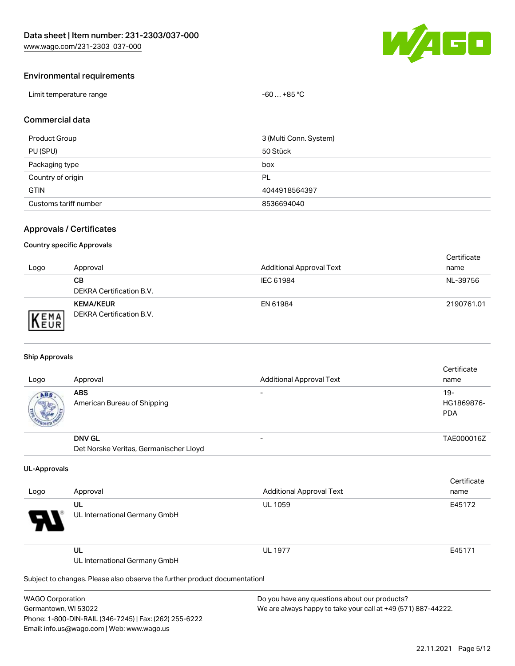

#### Environmental requirements

| Limit temperature range | $+85 °C$<br>-60<br>$\sim$ |
|-------------------------|---------------------------|
|-------------------------|---------------------------|

#### Commercial data

| Product Group         | 3 (Multi Conn. System) |
|-----------------------|------------------------|
| PU (SPU)              | 50 Stück               |
| Packaging type        | box                    |
| Country of origin     | PL                     |
| <b>GTIN</b>           | 4044918564397          |
| Customs tariff number | 8536694040             |

### Approvals / Certificates

#### Country specific Approvals

| Logo                | Approval                                     | <b>Additional Approval Text</b> | Certificate<br>name |
|---------------------|----------------------------------------------|---------------------------------|---------------------|
|                     | CВ<br>DEKRA Certification B.V.               | IEC 61984                       | NL-39756            |
| EMA<br><b>INEUR</b> | <b>KEMA/KEUR</b><br>DEKRA Certification B.V. | EN 61984                        | 2190761.01          |

#### Ship Approvals

| Logo | Approval                                  | <b>Additional Approval Text</b> | Certificate<br>name                |
|------|-------------------------------------------|---------------------------------|------------------------------------|
| ABS  | <b>ABS</b><br>American Bureau of Shipping |                                 | $19 -$<br>HG1869876-<br><b>PDA</b> |
|      | <b>DNV GL</b>                             |                                 | TAE000016Z                         |
|      | Det Norske Veritas, Germanischer Lloyd    |                                 |                                    |

#### UL-Approvals

| Logo     | Approval                            | <b>Additional Approval Text</b> | Certificate<br>name |
|----------|-------------------------------------|---------------------------------|---------------------|
| Ъ.<br>77 | UL<br>UL International Germany GmbH | <b>UL 1059</b>                  | E45172              |
| _____    | UL<br>UL International Germany GmbH | <b>UL 1977</b>                  | E45171              |

Subject to changes. Please also observe the further product documentation!

| <b>WAGO Corporation</b>                                |
|--------------------------------------------------------|
| Germantown, WI 53022                                   |
| Phone: 1-800-DIN-RAIL (346-7245)   Fax: (262) 255-6222 |
| Email: info.us@wago.com   Web: www.wago.us             |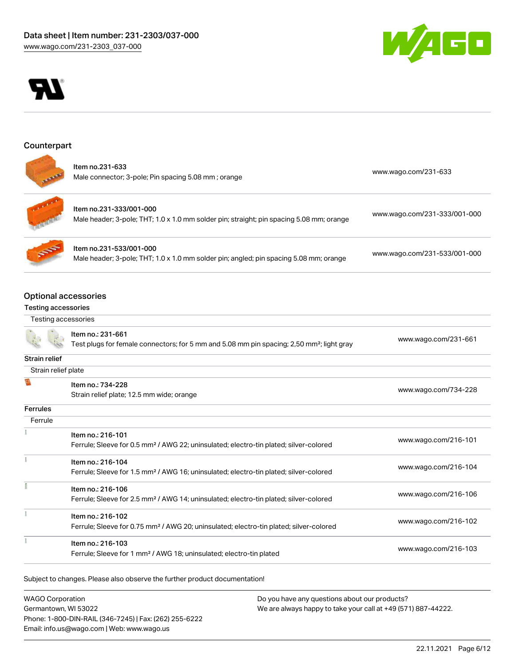



#### **Counterpart**

| ltem no.231-633<br>Male connector; 3-pole; Pin spacing 5.08 mm; orange | www.wago.com/231-633 |
|------------------------------------------------------------------------|----------------------|
|                                                                        |                      |



| Item no.231-333/001-000                                                                  | www.wago.com/231-333/001-000 |
|------------------------------------------------------------------------------------------|------------------------------|
| Male header; 3-pole; THT; 1.0 x 1.0 mm solder pin; straight; pin spacing 5.08 mm; orange |                              |

Item no.231-533/001-000 Male header; 3-pole; THT; 1.0 x 1.0 mm solder pin; angled; pin spacing 5.08 mm; orange [www.wago.com/231-533/001-000](https://www.wago.com/231-533/001-000)

### Optional accessories

#### Testing accessories

| Testing accessories |  |
|---------------------|--|
|                     |  |

Item no.: 231-661 Test plugs for female connectors; for 5 mm and 5.08 mm pin spacing; 2,50 mm²; light gray [www.wago.com/231-661](http://www.wago.com/231-661) Strain relief Strain relief plate Item no.: 734-228 [www.wago.com/734-228](http://www.wago.com/734-228)

| Strain relief plate; 12.5 mm wide; orange |  |
|-------------------------------------------|--|
|                                           |  |

## **Ferrules**

围

| Ferrule |                                                                                                    |                      |
|---------|----------------------------------------------------------------------------------------------------|----------------------|
|         | Item no.: 216-101                                                                                  | www.wago.com/216-101 |
|         | Ferrule; Sleeve for 0.5 mm <sup>2</sup> / AWG 22; uninsulated; electro-tin plated; silver-colored  |                      |
|         | Item no.: 216-104                                                                                  |                      |
|         | Ferrule; Sleeve for 1.5 mm <sup>2</sup> / AWG 16; uninsulated; electro-tin plated; silver-colored  | www.wago.com/216-104 |
|         | Item no.: 216-106                                                                                  | www.wago.com/216-106 |
|         | Ferrule; Sleeve for 2.5 mm <sup>2</sup> / AWG 14; uninsulated; electro-tin plated; silver-colored  |                      |
|         | Item no.: 216-102                                                                                  | www.wago.com/216-102 |
|         | Ferrule; Sleeve for 0.75 mm <sup>2</sup> / AWG 20; uninsulated; electro-tin plated; silver-colored |                      |
|         | Item no.: 216-103                                                                                  |                      |
|         | Ferrule; Sleeve for 1 mm <sup>2</sup> / AWG 18; uninsulated; electro-tin plated                    | www.wago.com/216-103 |

Subject to changes. Please also observe the further product documentation!

WAGO Corporation Germantown, WI 53022 Phone: 1-800-DIN-RAIL (346-7245) | Fax: (262) 255-6222 Email: info.us@wago.com | Web: www.wago.us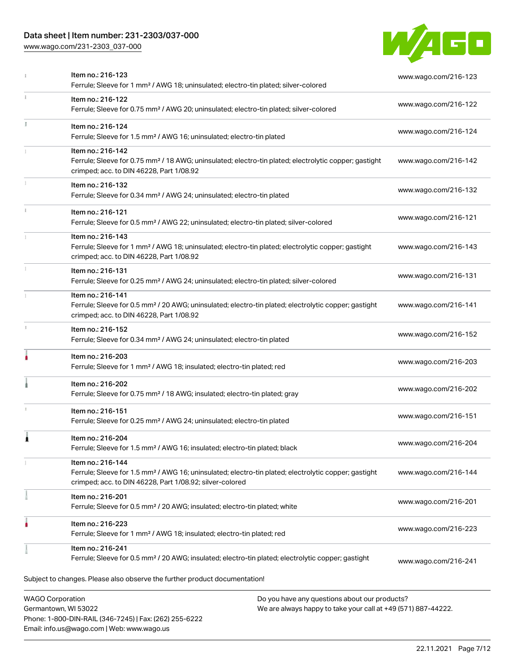### Data sheet | Item number: 231-2303/037-000

Phone: 1-800-DIN-RAIL (346-7245) | Fax: (262) 255-6222

Email: info.us@wago.com | Web: www.wago.us

[www.wago.com/231-2303\\_037-000](http://www.wago.com/231-2303_037-000)



|    | Item no.: 216-123<br>Ferrule; Sleeve for 1 mm <sup>2</sup> / AWG 18; uninsulated; electro-tin plated; silver-colored                                                                              | www.wago.com/216-123                                                                                           |  |
|----|---------------------------------------------------------------------------------------------------------------------------------------------------------------------------------------------------|----------------------------------------------------------------------------------------------------------------|--|
|    | Item no.: 216-122<br>Ferrule; Sleeve for 0.75 mm <sup>2</sup> / AWG 20; uninsulated; electro-tin plated; silver-colored                                                                           | www.wago.com/216-122                                                                                           |  |
| I. | Item no.: 216-124<br>Ferrule; Sleeve for 1.5 mm <sup>2</sup> / AWG 16; uninsulated; electro-tin plated                                                                                            | www.wago.com/216-124                                                                                           |  |
|    | Item no.: 216-142<br>Ferrule; Sleeve for 0.75 mm <sup>2</sup> / 18 AWG; uninsulated; electro-tin plated; electrolytic copper; gastight<br>crimped; acc. to DIN 46228, Part 1/08.92                | www.wago.com/216-142                                                                                           |  |
|    | Item no.: 216-132<br>Ferrule; Sleeve for 0.34 mm <sup>2</sup> / AWG 24; uninsulated; electro-tin plated                                                                                           | www.wago.com/216-132                                                                                           |  |
|    | Item no.: 216-121<br>Ferrule; Sleeve for 0.5 mm <sup>2</sup> / AWG 22; uninsulated; electro-tin plated; silver-colored                                                                            | www.wago.com/216-121                                                                                           |  |
|    | Item no.: 216-143<br>Ferrule; Sleeve for 1 mm <sup>2</sup> / AWG 18; uninsulated; electro-tin plated; electrolytic copper; gastight<br>crimped; acc. to DIN 46228, Part 1/08.92                   | www.wago.com/216-143                                                                                           |  |
|    | Item no.: 216-131<br>Ferrule; Sleeve for 0.25 mm <sup>2</sup> / AWG 24; uninsulated; electro-tin plated; silver-colored                                                                           | www.wago.com/216-131                                                                                           |  |
|    | Item no.: 216-141<br>Ferrule; Sleeve for 0.5 mm <sup>2</sup> / 20 AWG; uninsulated; electro-tin plated; electrolytic copper; gastight<br>crimped; acc. to DIN 46228, Part 1/08.92                 | www.wago.com/216-141                                                                                           |  |
|    | Item no.: 216-152<br>Ferrule; Sleeve for 0.34 mm <sup>2</sup> / AWG 24; uninsulated; electro-tin plated                                                                                           | www.wago.com/216-152                                                                                           |  |
| ۸  | Item no.: 216-203<br>Ferrule; Sleeve for 1 mm <sup>2</sup> / AWG 18; insulated; electro-tin plated; red                                                                                           | www.wago.com/216-203                                                                                           |  |
|    | Item no.: 216-202<br>Ferrule; Sleeve for 0.75 mm <sup>2</sup> / 18 AWG; insulated; electro-tin plated; gray                                                                                       | www.wago.com/216-202                                                                                           |  |
|    | Item no.: 216-151<br>Ferrule; Sleeve for 0.25 mm <sup>2</sup> / AWG 24; uninsulated; electro-tin plated                                                                                           | www.wago.com/216-151                                                                                           |  |
|    | Item no.: 216-204<br>Ferrule; Sleeve for 1.5 mm <sup>2</sup> / AWG 16; insulated; electro-tin plated; black                                                                                       | www.wago.com/216-204                                                                                           |  |
|    | Item no.: 216-144<br>Ferrule; Sleeve for 1.5 mm <sup>2</sup> / AWG 16; uninsulated; electro-tin plated; electrolytic copper; gastight<br>crimped; acc. to DIN 46228, Part 1/08.92; silver-colored | www.wago.com/216-144                                                                                           |  |
|    | Item no.: 216-201<br>Ferrule; Sleeve for 0.5 mm <sup>2</sup> / 20 AWG; insulated; electro-tin plated; white                                                                                       | www.wago.com/216-201                                                                                           |  |
|    | Item no.: 216-223<br>Ferrule; Sleeve for 1 mm <sup>2</sup> / AWG 18; insulated; electro-tin plated; red                                                                                           | www.wago.com/216-223                                                                                           |  |
|    | Item no.: 216-241<br>Ferrule; Sleeve for 0.5 mm <sup>2</sup> / 20 AWG; insulated; electro-tin plated; electrolytic copper; gastight                                                               | www.wago.com/216-241                                                                                           |  |
|    | Subject to changes. Please also observe the further product documentation!                                                                                                                        |                                                                                                                |  |
|    | <b>WAGO Corporation</b><br>Germantown, WI 53022                                                                                                                                                   | Do you have any questions about our products?<br>We are always happy to take your call at +49 (571) 887-44222. |  |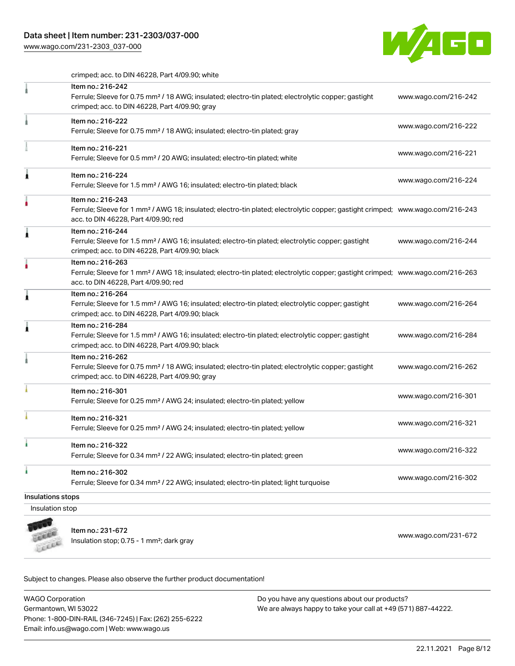### Data sheet | Item number: 231-2303/037-000

[www.wago.com/231-2303\\_037-000](http://www.wago.com/231-2303_037-000)



crimped; acc. to DIN 46228, Part 4/09.90; white

|                   | Item no.: 216-242                                                                                                                                                 |                      |
|-------------------|-------------------------------------------------------------------------------------------------------------------------------------------------------------------|----------------------|
|                   | Ferrule; Sleeve for 0.75 mm <sup>2</sup> / 18 AWG; insulated; electro-tin plated; electrolytic copper; gastight                                                   | www.wago.com/216-242 |
|                   | crimped; acc. to DIN 46228, Part 4/09.90; gray                                                                                                                    |                      |
|                   | Item no.: 216-222                                                                                                                                                 | www.wago.com/216-222 |
|                   | Ferrule; Sleeve for 0.75 mm <sup>2</sup> / 18 AWG; insulated; electro-tin plated; gray                                                                            |                      |
|                   | Item no.: 216-221                                                                                                                                                 |                      |
|                   | Ferrule; Sleeve for 0.5 mm <sup>2</sup> / 20 AWG; insulated; electro-tin plated; white                                                                            | www.wago.com/216-221 |
| Â                 | Item no.: 216-224                                                                                                                                                 |                      |
|                   | Ferrule; Sleeve for 1.5 mm <sup>2</sup> / AWG 16; insulated; electro-tin plated; black                                                                            | www.wago.com/216-224 |
|                   | Item no.: 216-243                                                                                                                                                 |                      |
|                   | Ferrule; Sleeve for 1 mm <sup>2</sup> / AWG 18; insulated; electro-tin plated; electrolytic copper; gastight crimped; www.wago.com/216-243                        |                      |
|                   | acc. to DIN 46228, Part 4/09.90; red                                                                                                                              |                      |
| Â                 | Item no.: 216-244                                                                                                                                                 |                      |
|                   | Ferrule; Sleeve for 1.5 mm <sup>2</sup> / AWG 16; insulated; electro-tin plated; electrolytic copper; gastight<br>crimped; acc. to DIN 46228, Part 4/09.90; black | www.wago.com/216-244 |
|                   | Item no.: 216-263                                                                                                                                                 |                      |
|                   | Ferrule; Sleeve for 1 mm <sup>2</sup> / AWG 18; insulated; electro-tin plated; electrolytic copper; gastight crimped; www.wago.com/216-263                        |                      |
|                   | acc. to DIN 46228, Part 4/09.90; red                                                                                                                              |                      |
| Â                 | Item no.: 216-264                                                                                                                                                 |                      |
|                   | Ferrule; Sleeve for 1.5 mm <sup>2</sup> / AWG 16; insulated; electro-tin plated; electrolytic copper; gastight                                                    | www.wago.com/216-264 |
|                   | crimped; acc. to DIN 46228, Part 4/09.90; black                                                                                                                   |                      |
| Â                 | Item no.: 216-284                                                                                                                                                 |                      |
|                   | Ferrule; Sleeve for 1.5 mm <sup>2</sup> / AWG 16; insulated; electro-tin plated; electrolytic copper; gastight<br>crimped; acc. to DIN 46228, Part 4/09.90; black | www.wago.com/216-284 |
|                   | Item no.: 216-262                                                                                                                                                 |                      |
|                   | Ferrule; Sleeve for 0.75 mm <sup>2</sup> / 18 AWG; insulated; electro-tin plated; electrolytic copper; gastight                                                   | www.wago.com/216-262 |
|                   | crimped; acc. to DIN 46228, Part 4/09.90; gray                                                                                                                    |                      |
|                   | Item no.: 216-301                                                                                                                                                 |                      |
|                   | Ferrule; Sleeve for 0.25 mm <sup>2</sup> / AWG 24; insulated; electro-tin plated; yellow                                                                          | www.wago.com/216-301 |
|                   | Item no.: 216-321                                                                                                                                                 |                      |
|                   | Ferrule; Sleeve for 0.25 mm <sup>2</sup> / AWG 24; insulated; electro-tin plated; yellow                                                                          | www.wago.com/216-321 |
|                   | Item no.: 216-322                                                                                                                                                 |                      |
|                   | Ferrule; Sleeve for 0.34 mm <sup>2</sup> / 22 AWG; insulated; electro-tin plated; green                                                                           | www.wago.com/216-322 |
| ۸                 | Item no.: 216-302                                                                                                                                                 |                      |
|                   | Ferrule; Sleeve for 0.34 mm <sup>2</sup> / 22 AWG; insulated; electro-tin plated; light turquoise                                                                 | www.wago.com/216-302 |
| Insulations stops |                                                                                                                                                                   |                      |
| Insulation stop   |                                                                                                                                                                   |                      |
|                   |                                                                                                                                                                   |                      |

**CALLED** Leece

Item no.: 231-672 Item IIo... 231-072<br>Insulation stop; 0.75 - 1 mm²; dark gray [www.wago.com/231-672](http://www.wago.com/231-672)

Subject to changes. Please also observe the further product documentation!

WAGO Corporation Germantown, WI 53022 Phone: 1-800-DIN-RAIL (346-7245) | Fax: (262) 255-6222 Email: info.us@wago.com | Web: www.wago.us Do you have any questions about our products? We are always happy to take your call at +49 (571) 887-44222.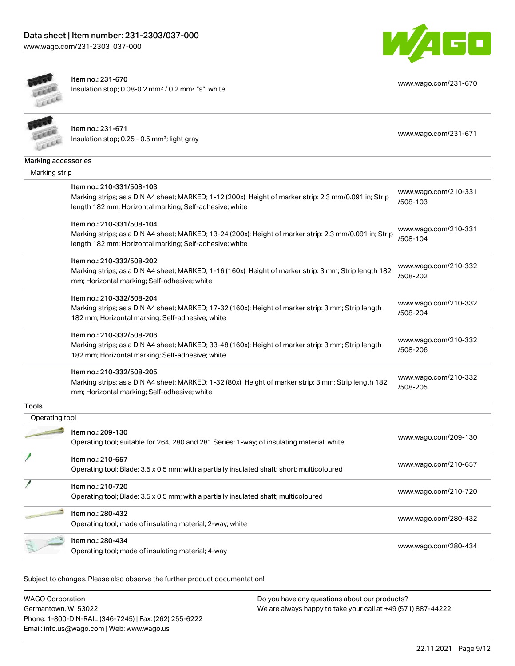



Item no.: 231-670 Insulation stop; 0.08-0.2 mm² / 0.2 mm² "s"; white

[www.wago.com/231-670](http://www.wago.com/231-670)

|                     | Item no.: 231-671<br>Insulation stop; 0.25 - 0.5 mm <sup>2</sup> ; light gray                                                                                     | www.wago.com/231-671             |
|---------------------|-------------------------------------------------------------------------------------------------------------------------------------------------------------------|----------------------------------|
| Marking accessories |                                                                                                                                                                   |                                  |
| Marking strip       |                                                                                                                                                                   |                                  |
|                     | Item no.: 210-331/508-103                                                                                                                                         | www.wago.com/210-331             |
|                     | Marking strips; as a DIN A4 sheet; MARKED; 1-12 (200x); Height of marker strip: 2.3 mm/0.091 in; Strip<br>length 182 mm; Horizontal marking; Self-adhesive; white | /508-103                         |
|                     | Item no.: 210-331/508-104                                                                                                                                         |                                  |
|                     | Marking strips; as a DIN A4 sheet; MARKED; 13-24 (200x); Height of marker strip: 2.3 mm/0.091 in; Strip                                                           | www.wago.com/210-331<br>/508-104 |
|                     | length 182 mm; Horizontal marking; Self-adhesive; white                                                                                                           |                                  |
|                     | Item no.: 210-332/508-202                                                                                                                                         |                                  |
|                     | Marking strips; as a DIN A4 sheet; MARKED; 1-16 (160x); Height of marker strip: 3 mm; Strip length 182                                                            | www.wago.com/210-332<br>/508-202 |
|                     | mm; Horizontal marking; Self-adhesive; white                                                                                                                      |                                  |
|                     | Item no.: 210-332/508-204                                                                                                                                         |                                  |
|                     | Marking strips; as a DIN A4 sheet; MARKED; 17-32 (160x); Height of marker strip: 3 mm; Strip length                                                               | www.wago.com/210-332<br>/508-204 |
|                     | 182 mm; Horizontal marking; Self-adhesive; white                                                                                                                  |                                  |
|                     | Item no.: 210-332/508-206                                                                                                                                         |                                  |
|                     | Marking strips; as a DIN A4 sheet; MARKED; 33-48 (160x); Height of marker strip: 3 mm; Strip length                                                               | www.wago.com/210-332<br>/508-206 |
|                     | 182 mm; Horizontal marking; Self-adhesive; white                                                                                                                  |                                  |
|                     | Item no.: 210-332/508-205                                                                                                                                         |                                  |
|                     | Marking strips; as a DIN A4 sheet; MARKED; 1-32 (80x); Height of marker strip: 3 mm; Strip length 182                                                             | www.wago.com/210-332<br>/508-205 |
|                     | mm; Horizontal marking; Self-adhesive; white                                                                                                                      |                                  |
| Tools               |                                                                                                                                                                   |                                  |
| Operating tool      |                                                                                                                                                                   |                                  |
|                     | Item no.: 209-130                                                                                                                                                 | www.wago.com/209-130             |
|                     | Operating tool; suitable for 264, 280 and 281 Series; 1-way; of insulating material; white                                                                        |                                  |
|                     | Item no.: 210-657                                                                                                                                                 |                                  |
|                     | Operating tool; Blade: 3.5 x 0.5 mm; with a partially insulated shaft; short; multicoloured                                                                       | www.wago.com/210-657             |
|                     | Item no.: 210-720                                                                                                                                                 |                                  |
|                     | Operating tool; Blade: 3.5 x 0.5 mm; with a partially insulated shaft; multicoloured                                                                              | www.wago.com/210-720             |
|                     | Item no.: 280-432                                                                                                                                                 | www.wago.com/280-432             |
|                     | Operating tool; made of insulating material; 2-way; white                                                                                                         |                                  |
|                     | Item no.: 280-434                                                                                                                                                 |                                  |
|                     | Operating tool; made of insulating material; 4-way                                                                                                                | www.wago.com/280-434             |
|                     |                                                                                                                                                                   |                                  |

Subject to changes. Please also observe the further product documentation!

WAGO Corporation Germantown, WI 53022 Phone: 1-800-DIN-RAIL (346-7245) | Fax: (262) 255-6222 Email: info.us@wago.com | Web: www.wago.us Do you have any questions about our products? We are always happy to take your call at +49 (571) 887-44222.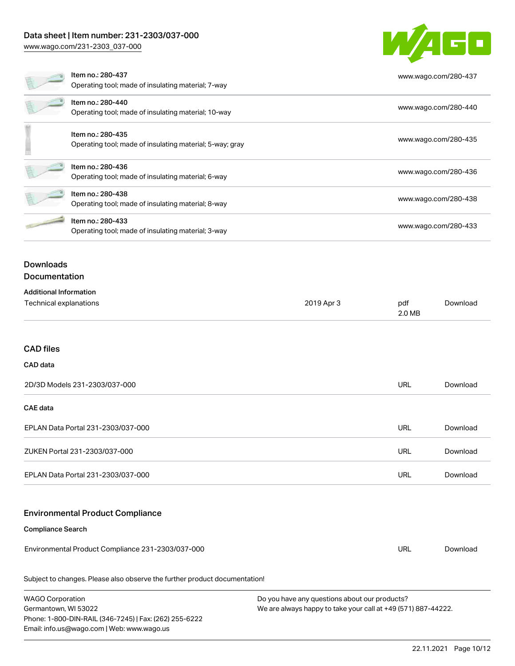### Data sheet | Item number: 231-2303/037-000

[www.wago.com/231-2303\\_037-000](http://www.wago.com/231-2303_037-000)

Email: info.us@wago.com | Web: www.wago.us

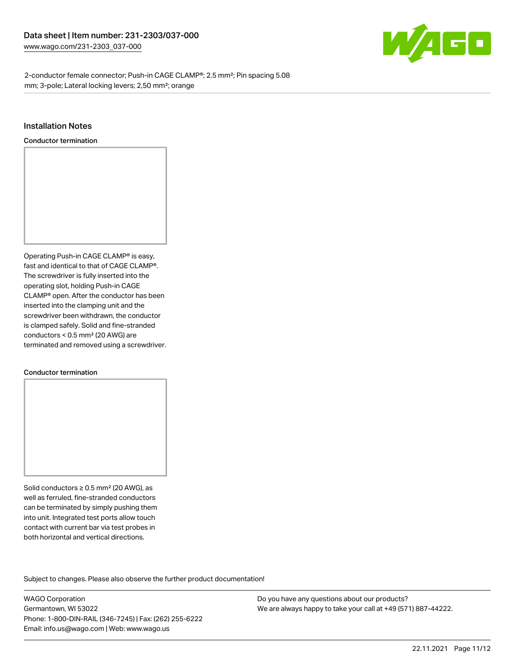

2-conductor female connector; Push-in CAGE CLAMP®; 2.5 mm²; Pin spacing 5.08 mm; 3-pole; Lateral locking levers; 2,50 mm²; orange

#### Installation Notes

Conductor termination



#### Conductor termination

Solid conductors ≥ 0.5 mm² (20 AWG), as well as ferruled, fine-stranded conductors can be terminated by simply pushing them into unit. Integrated test ports allow touch contact with current bar via test probes in both horizontal and vertical directions.

Subject to changes. Please also observe the further product documentation! Product family

WAGO Corporation Germantown, WI 53022 Phone: 1-800-DIN-RAIL (346-7245) | Fax: (262) 255-6222 Email: info.us@wago.com | Web: www.wago.us